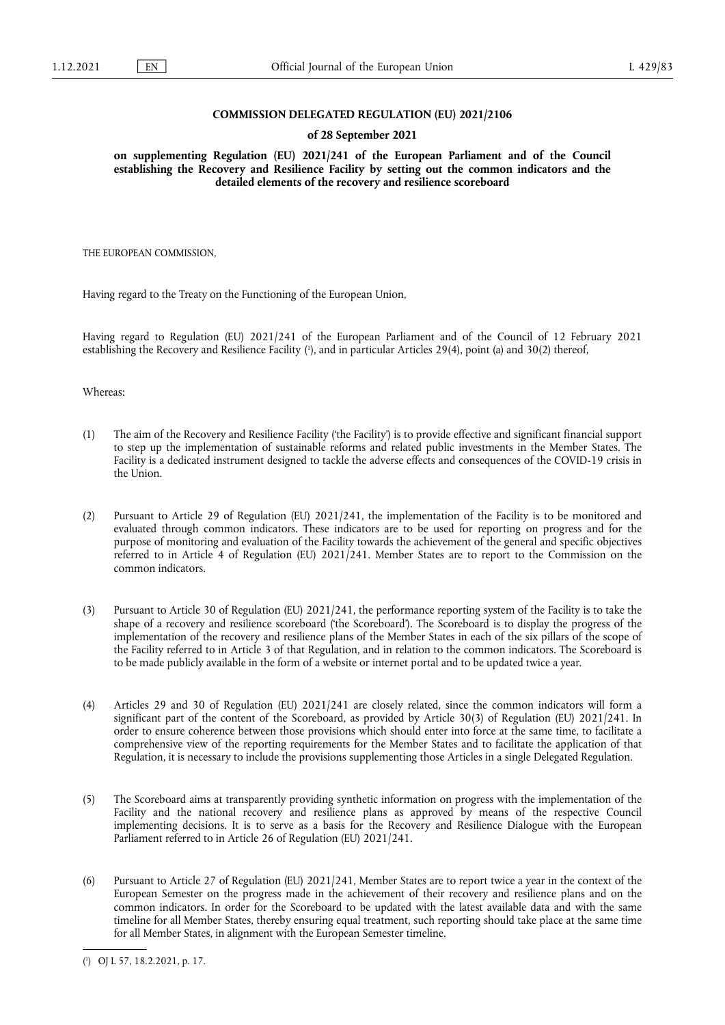### **COMMISSION DELEGATED REGULATION (EU) 2021/2106**

#### **of 28 September 2021**

**on supplementing Regulation (EU) 2021/241 of the European Parliament and of the Council establishing the Recovery and Resilience Facility by setting out the common indicators and the detailed elements of the recovery and resilience scoreboard** 

THE EUROPEAN COMMISSION,

Having regard to the Treaty on the Functioning of the European Union,

<span id="page-0-1"></span>Having regard to Regulation (EU) 2021/241 of the European Parliament and of the Council of 12 February 2021 establishing the Recovery and Resilience Facility ( 1 [\),](#page-0-0) and in particular Articles 29(4), point (a) and 30(2) thereof,

Whereas:

- (1) The aim of the Recovery and Resilience Facility ('the Facility') is to provide effective and significant financial support to step up the implementation of sustainable reforms and related public investments in the Member States. The Facility is a dedicated instrument designed to tackle the adverse effects and consequences of the COVID-19 crisis in the Union.
- (2) Pursuant to Article 29 of Regulation (EU) 2021/241, the implementation of the Facility is to be monitored and evaluated through common indicators. These indicators are to be used for reporting on progress and for the purpose of monitoring and evaluation of the Facility towards the achievement of the general and specific objectives referred to in Article 4 of Regulation (EU) 2021/241. Member States are to report to the Commission on the common indicators.
- (3) Pursuant to Article 30 of Regulation (EU) 2021/241, the performance reporting system of the Facility is to take the shape of a recovery and resilience scoreboard ('the Scoreboard'). The Scoreboard is to display the progress of the implementation of the recovery and resilience plans of the Member States in each of the six pillars of the scope of the Facility referred to in Article 3 of that Regulation, and in relation to the common indicators. The Scoreboard is to be made publicly available in the form of a website or internet portal and to be updated twice a year.
- (4) Articles 29 and 30 of Regulation (EU) 2021/241 are closely related, since the common indicators will form a significant part of the content of the Scoreboard, as provided by Article 30(3) of Regulation (EU) 2021/241. In order to ensure coherence between those provisions which should enter into force at the same time, to facilitate a comprehensive view of the reporting requirements for the Member States and to facilitate the application of that Regulation, it is necessary to include the provisions supplementing those Articles in a single Delegated Regulation.
- (5) The Scoreboard aims at transparently providing synthetic information on progress with the implementation of the Facility and the national recovery and resilience plans as approved by means of the respective Council implementing decisions. It is to serve as a basis for the Recovery and Resilience Dialogue with the European Parliament referred to in Article 26 of Regulation (EU) 2021/241.
- (6) Pursuant to Article 27 of Regulation (EU) 2021/241, Member States are to report twice a year in the context of the European Semester on the progress made in the achievement of their recovery and resilience plans and on the common indicators. In order for the Scoreboard to be updated with the latest available data and with the same timeline for all Member States, thereby ensuring equal treatment, such reporting should take place at the same time for all Member States, in alignment with the European Semester timeline.

<span id="page-0-0"></span>[<sup>\(</sup>](#page-0-1) 1 ) OJ L 57, 18.2.2021, p. 17.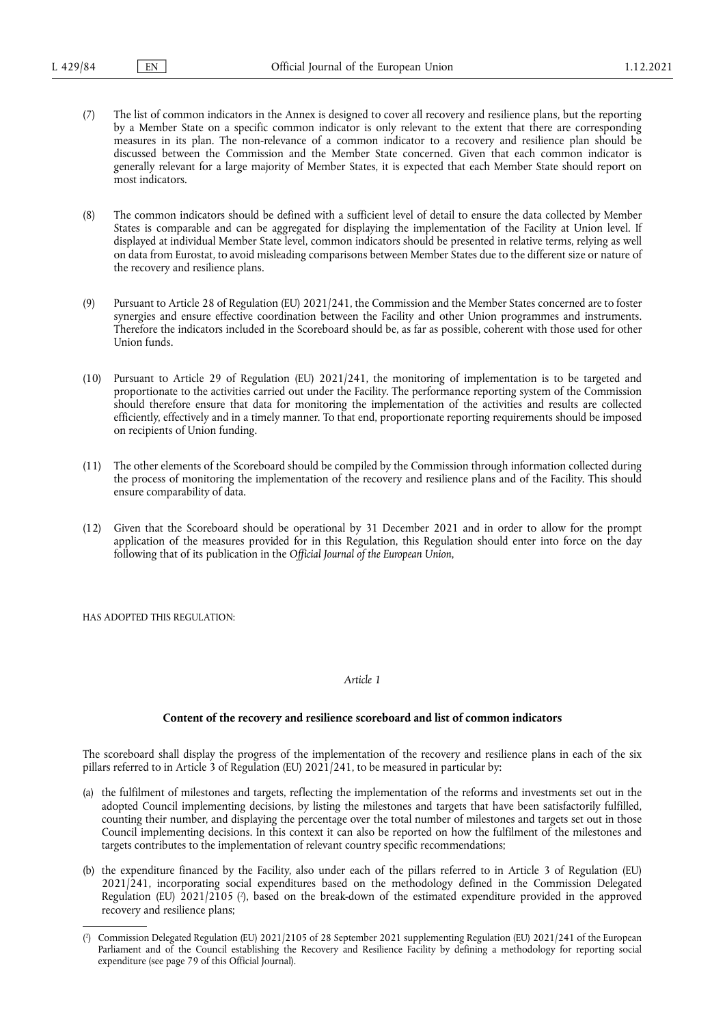(7) The list of common indicators in the Annex is designed to cover all recovery and resilience plans, but the reporting by a Member State on a specific common indicator is only relevant to the extent that there are corresponding measures in its plan. The non-relevance of a common indicator to a recovery and resilience plan should be discussed between the Commission and the Member State concerned. Given that each common indicator is generally relevant for a large majority of Member States, it is expected that each Member State should report on most indicators.

(8) The common indicators should be defined with a sufficient level of detail to ensure the data collected by Member States is comparable and can be aggregated for displaying the implementation of the Facility at Union level. If displayed at individual Member State level, common indicators should be presented in relative terms, relying as well on data from Eurostat, to avoid misleading comparisons between Member States due to the different size or nature of the recovery and resilience plans.

- (9) Pursuant to Article 28 of Regulation (EU) 2021/241, the Commission and the Member States concerned are to foster synergies and ensure effective coordination between the Facility and other Union programmes and instruments. Therefore the indicators included in the Scoreboard should be, as far as possible, coherent with those used for other Union funds.
- (10) Pursuant to Article 29 of Regulation (EU) 2021/241, the monitoring of implementation is to be targeted and proportionate to the activities carried out under the Facility. The performance reporting system of the Commission should therefore ensure that data for monitoring the implementation of the activities and results are collected efficiently, effectively and in a timely manner. To that end, proportionate reporting requirements should be imposed on recipients of Union funding.
- (11) The other elements of the Scoreboard should be compiled by the Commission through information collected during the process of monitoring the implementation of the recovery and resilience plans and of the Facility. This should ensure comparability of data.
- (12) Given that the Scoreboard should be operational by 31 December 2021 and in order to allow for the prompt application of the measures provided for in this Regulation, this Regulation should enter into force on the day following that of its publication in the *Official Journal of the European Union*,

HAS ADOPTED THIS REGULATION.

#### *Article 1*

#### **Content of the recovery and resilience scoreboard and list of common indicators**

The scoreboard shall display the progress of the implementation of the recovery and resilience plans in each of the six pillars referred to in Article 3 of Regulation (EU) 2021/241, to be measured in particular by:

- (a) the fulfilment of milestones and targets, reflecting the implementation of the reforms and investments set out in the adopted Council implementing decisions, by listing the milestones and targets that have been satisfactorily fulfilled, counting their number, and displaying the percentage over the total number of milestones and targets set out in those Council implementing decisions. In this context it can also be reported on how the fulfilment of the milestones and targets contributes to the implementation of relevant country specific recommendations;
- <span id="page-1-1"></span>(b) the expenditure financed by the Facility, also under each of the pillars referred to in Article 3 of Regulation (EU) 2021/241, incorporating social expenditures based on the methodology defined in the Commission Delegated Regulation [\(](#page-1-0)EU) 2021/2105 (?), based on the break-down of the estimated expenditure provided in the approved recovery and resilience plans;

<span id="page-1-0"></span>[<sup>\(</sup>](#page-1-1) 2 ) Commission Delegated Regulation (EU) 2021/2105 of 28 September 2021 supplementing Regulation (EU) 2021/241 of the European Parliament and of the Council establishing the Recovery and Resilience Facility by defining a methodology for reporting social expenditure (see page 79 of this Official Journal).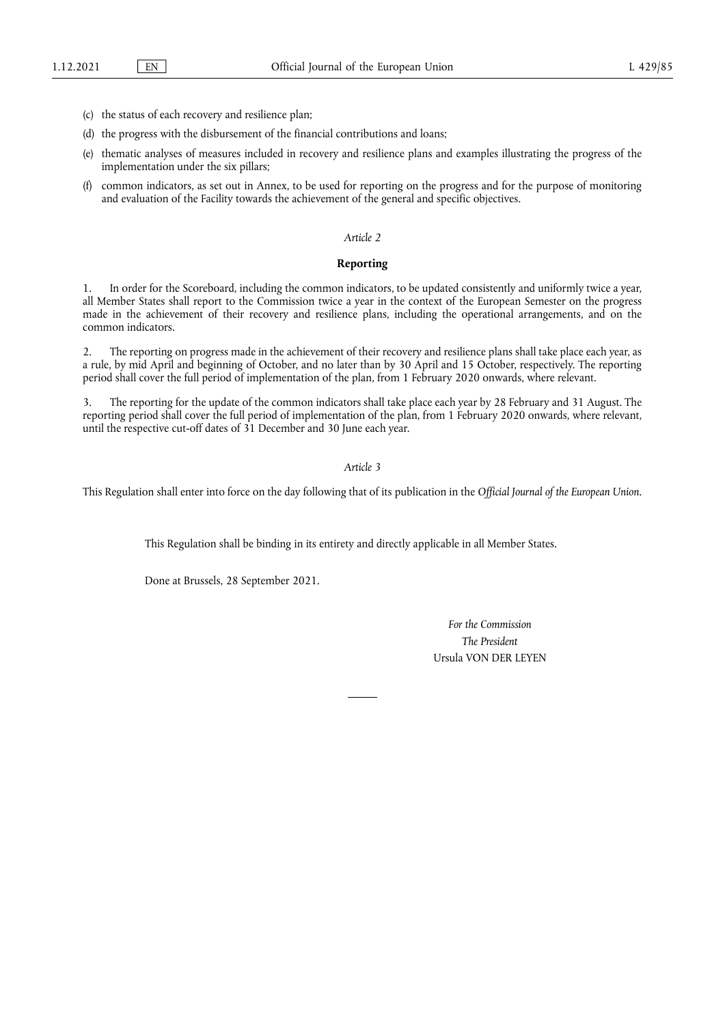- (c) the status of each recovery and resilience plan;
- (d) the progress with the disbursement of the financial contributions and loans;
- (e) thematic analyses of measures included in recovery and resilience plans and examples illustrating the progress of the implementation under the six pillars;
- (f) common indicators, as set out in Annex, to be used for reporting on the progress and for the purpose of monitoring and evaluation of the Facility towards the achievement of the general and specific objectives.

#### *Article 2*

## **Reporting**

1. In order for the Scoreboard, including the common indicators, to be updated consistently and uniformly twice a year, all Member States shall report to the Commission twice a year in the context of the European Semester on the progress made in the achievement of their recovery and resilience plans, including the operational arrangements, and on the common indicators.

2. The reporting on progress made in the achievement of their recovery and resilience plans shall take place each year, as a rule, by mid April and beginning of October, and no later than by 30 April and 15 October, respectively. The reporting period shall cover the full period of implementation of the plan, from 1 February 2020 onwards, where relevant.

3. The reporting for the update of the common indicators shall take place each year by 28 February and 31 August. The reporting period shall cover the full period of implementation of the plan, from 1 February 2020 onwards, where relevant, until the respective cut-off dates of 31 December and 30 June each year.

*Article 3*

This Regulation shall enter into force on the day following that of its publication in the *Official Journal of the European Union*.

This Regulation shall be binding in its entirety and directly applicable in all Member States.

Done at Brussels, 28 September 2021.

*For the Commission The President* Ursula VON DER LEYEN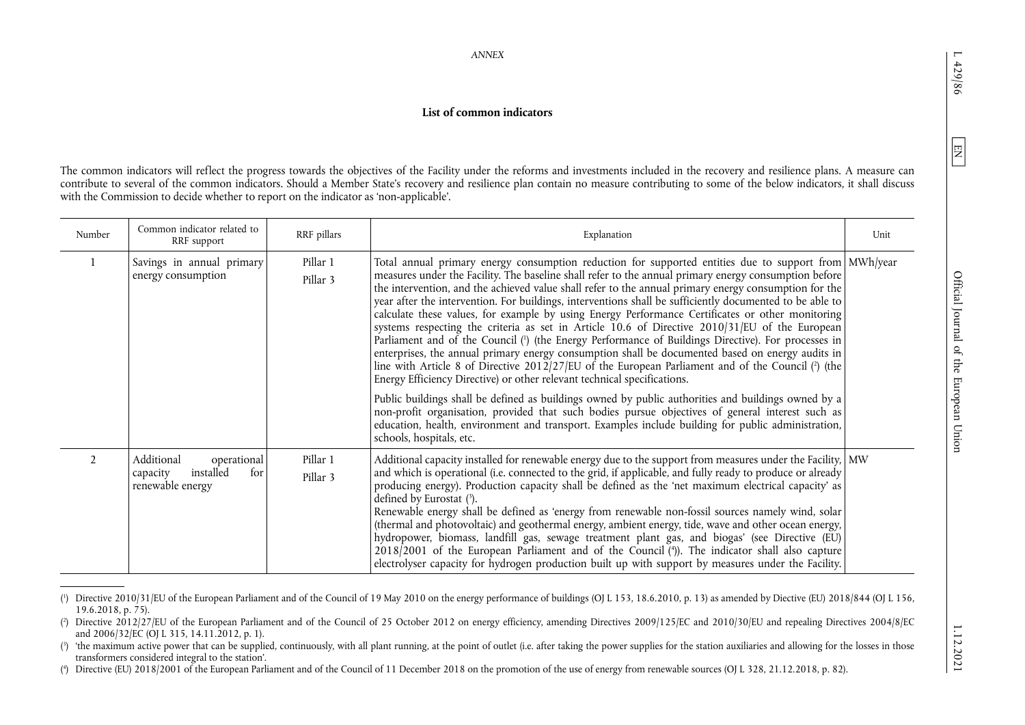<span id="page-3-7"></span><span id="page-3-6"></span><span id="page-3-5"></span><span id="page-3-4"></span><span id="page-3-3"></span><span id="page-3-2"></span><span id="page-3-1"></span><span id="page-3-0"></span> $\overline{\phantom{0}}$ 429/86

# **List of common indicators**

The common indicators will reflect the progress towards the objectives of the Facility under the reforms and investments included in the recovery and resilience plans. A measure can contribute to several of the common indicators. Should a Member State's recovery and resilience plan contain no measure contributing to some of the below indicators, it shall discuss with the Commission to decide whether to report on the indicator as 'non-applicable'.

| Number         | Common indicator related to<br>RRF support                                    | RRF pillars          | Explanation                                                                                                                                                                                                                                                                                                                                                                                                                                                                                                                                                                                                                                                                                                                                                                                                                                                                                                                                                                                                                                                                                                                                                                                                                                                                                                                                               | Unit |
|----------------|-------------------------------------------------------------------------------|----------------------|-----------------------------------------------------------------------------------------------------------------------------------------------------------------------------------------------------------------------------------------------------------------------------------------------------------------------------------------------------------------------------------------------------------------------------------------------------------------------------------------------------------------------------------------------------------------------------------------------------------------------------------------------------------------------------------------------------------------------------------------------------------------------------------------------------------------------------------------------------------------------------------------------------------------------------------------------------------------------------------------------------------------------------------------------------------------------------------------------------------------------------------------------------------------------------------------------------------------------------------------------------------------------------------------------------------------------------------------------------------|------|
|                | Savings in annual primary<br>energy consumption                               | Pillar 1<br>Pillar 3 | Total annual primary energy consumption reduction for supported entities due to support from MWh/year<br>measures under the Facility. The baseline shall refer to the annual primary energy consumption before<br>the intervention, and the achieved value shall refer to the annual primary energy consumption for the<br>year after the intervention. For buildings, interventions shall be sufficiently documented to be able to<br>calculate these values, for example by using Energy Performance Certificates or other monitoring<br>systems respecting the criteria as set in Article 10.6 of Directive 2010/31/EU of the European<br>Parliament and of the Council (1) (the Energy Performance of Buildings Directive). For processes in<br>enterprises, the annual primary energy consumption shall be documented based on energy audits in<br>line with Article 8 of Directive $2012/27/EU$ of the European Parliament and of the Council (?) (the<br>Energy Efficiency Directive) or other relevant technical specifications.<br>Public buildings shall be defined as buildings owned by public authorities and buildings owned by a<br>non-profit organisation, provided that such bodies pursue objectives of general interest such as<br>education, health, environment and transport. Examples include building for public administration, |      |
| $\mathfrak{D}$ | Additional<br>operational<br>installed<br>for<br>capacity<br>renewable energy | Pillar 1<br>Pillar 3 | schools, hospitals, etc.<br>Additional capacity installed for renewable energy due to the support from measures under the Facility,   MW<br>and which is operational (i.e. connected to the grid, if applicable, and fully ready to produce or already<br>producing energy). Production capacity shall be defined as the 'net maximum electrical capacity' as                                                                                                                                                                                                                                                                                                                                                                                                                                                                                                                                                                                                                                                                                                                                                                                                                                                                                                                                                                                             |      |
|                |                                                                               |                      | defined by Eurostat $(3)$ .<br>Renewable energy shall be defined as 'energy from renewable non-fossil sources namely wind, solar<br>(thermal and photovoltaic) and geothermal energy, ambient energy, tide, wave and other ocean energy,<br>hydropower, biomass, landfill gas, sewage treatment plant gas, and biogas' (see Directive (EU)<br>$2018/2001$ of the European Parliament and of the Council ( $\degree$ ). The indicator shall also capture<br>electrolyser capacity for hydrogen production built up with support by measures under the Facility.                                                                                                                                                                                                                                                                                                                                                                                                                                                                                                                                                                                                                                                                                                                                                                                            |      |

[<sup>\(1\)</sup>](#page-3-4) Directive 2010/31/EU of the European Parliament and of the Council of 19 May 2010 on the energy performance of buildings (OJ L 153, 18.6.2010, p. 13) as amended by Diective (EU) 2018/844 (OJ L 156,  $19.6.2018$ , p. 75).

[<sup>\(2\)</sup>](#page-3-5) Directive 2012/27/EU of the European Parliament and of the Council of 25 October 2012 on energy efficiency, amending Directives 2009/125/EC and 2010/30/EU and repealing Directives 2004/8/EC and 2006/32/EC (OJ L 315, 14.11.2012, p. 1).

[<sup>\(3\)</sup>](#page-3-6) 'the maximum active power that can be supplied, continuously, with all plant running, at the point of outlet (i.e. after taking the power supplies for the station auxiliaries and allowing for the losses in those transformers considered integral to the station'.

[<sup>\(4\)</sup>](#page-3-7) Directive (EU) 2018/2001 of the European Parliament and of the Council of 11 December 2018 on the promotion of the use of energy from renewable sources (OJ L 328, 21.12.2018, p. 82).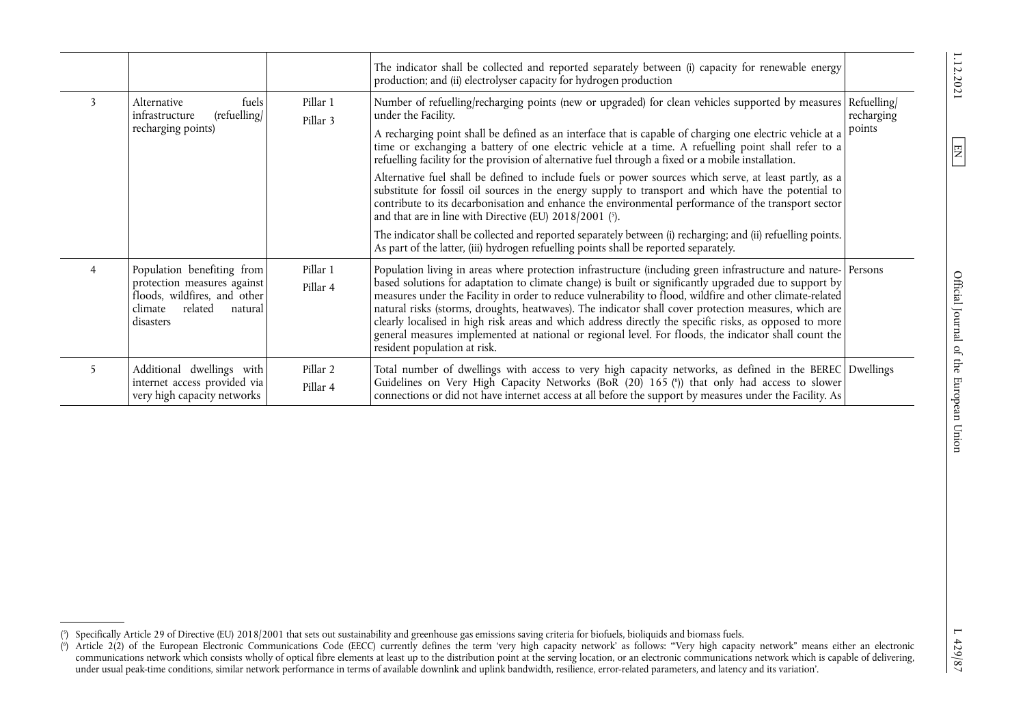|   |                                                                                                                                         |                      | The indicator shall be collected and reported separately between (i) capacity for renewable energy<br>production; and (ii) electrolyser capacity for hydrogen production                                                                                                                                                                                                                                                                                                                                                                                                                                                                                                                                                                                                                                                                                                                                                                                                                                                                          |                                     |
|---|-----------------------------------------------------------------------------------------------------------------------------------------|----------------------|---------------------------------------------------------------------------------------------------------------------------------------------------------------------------------------------------------------------------------------------------------------------------------------------------------------------------------------------------------------------------------------------------------------------------------------------------------------------------------------------------------------------------------------------------------------------------------------------------------------------------------------------------------------------------------------------------------------------------------------------------------------------------------------------------------------------------------------------------------------------------------------------------------------------------------------------------------------------------------------------------------------------------------------------------|-------------------------------------|
| 3 | fuels<br>Alternative<br>(refuelling/<br>infrastructure<br>recharging points)                                                            | Pillar 1<br>Pillar 3 | Number of refuelling/recharging points (new or upgraded) for clean vehicles supported by measures<br>under the Facility.<br>A recharging point shall be defined as an interface that is capable of charging one electric vehicle at a<br>time or exchanging a battery of one electric vehicle at a time. A refuelling point shall refer to a<br>refuelling facility for the provision of alternative fuel through a fixed or a mobile installation.<br>Alternative fuel shall be defined to include fuels or power sources which serve, at least partly, as a<br>substitute for fossil oil sources in the energy supply to transport and which have the potential to<br>contribute to its decarbonisation and enhance the environmental performance of the transport sector<br>and that are in line with Directive (EU) $2018/2001$ (5).<br>The indicator shall be collected and reported separately between (i) recharging; and (ii) refuelling points.<br>As part of the latter, (iii) hydrogen refuelling points shall be reported separately. | Refuelling/<br>recharging<br>points |
| 4 | Population benefiting from<br>protection measures against<br>floods, wildfires, and other<br>related<br>climate<br>natural<br>disasters | Pillar 1<br>Pillar 4 | Population living in areas where protection infrastructure (including green infrastructure and nature-   Persons<br>based solutions for adaptation to climate change) is built or significantly upgraded due to support by<br>measures under the Facility in order to reduce vulnerability to flood, wildfire and other climate-related<br>natural risks (storms, droughts, heatwaves). The indicator shall cover protection measures, which are<br>clearly localised in high risk areas and which address directly the specific risks, as opposed to more<br>general measures implemented at national or regional level. For floods, the indicator shall count the<br>resident population at risk.                                                                                                                                                                                                                                                                                                                                               |                                     |
| 5 | Additional dwellings with<br>internet access provided via<br>very high capacity networks                                                | Pillar 2<br>Pillar 4 | Total number of dwellings with access to very high capacity networks, as defined in the BEREC Dwellings<br>Guidelines on Very High Capacity Networks (BoR (20) 165 (6)) that only had access to slower<br>connections or did not have internet access at all before the support by measures under the Facility. As                                                                                                                                                                                                                                                                                                                                                                                                                                                                                                                                                                                                                                                                                                                                |                                     |

<span id="page-4-3"></span><span id="page-4-2"></span><span id="page-4-1"></span><span id="page-4-0"></span>Official Journal of the European Union

 $\boxed{\Xi}$ 

[<sup>\(5\)</sup>](#page-4-2) Specifically Article 29 of Directive (EU) 2018/2001 that sets out sustainability and greenhouse gas emissions saving criteria for biofuels, bioliquids and biomass fuels.

[<sup>\(6\)</sup>](#page-4-3) Article 2(2) of the European Electronic Communications Code (EECC) currently defines the term 'very high capacity network' as follows: '"Very high capacity network" means either an electronic communications network which consists wholly of optical fibre elements at least up to the distribution point at the serving location, or an electronic communications network which is capable of delivering, under usual peak-time conditions, similar network performance in terms of available downlink and uplink bandwidth, resilience, error-related parameters, and latency and its variation'.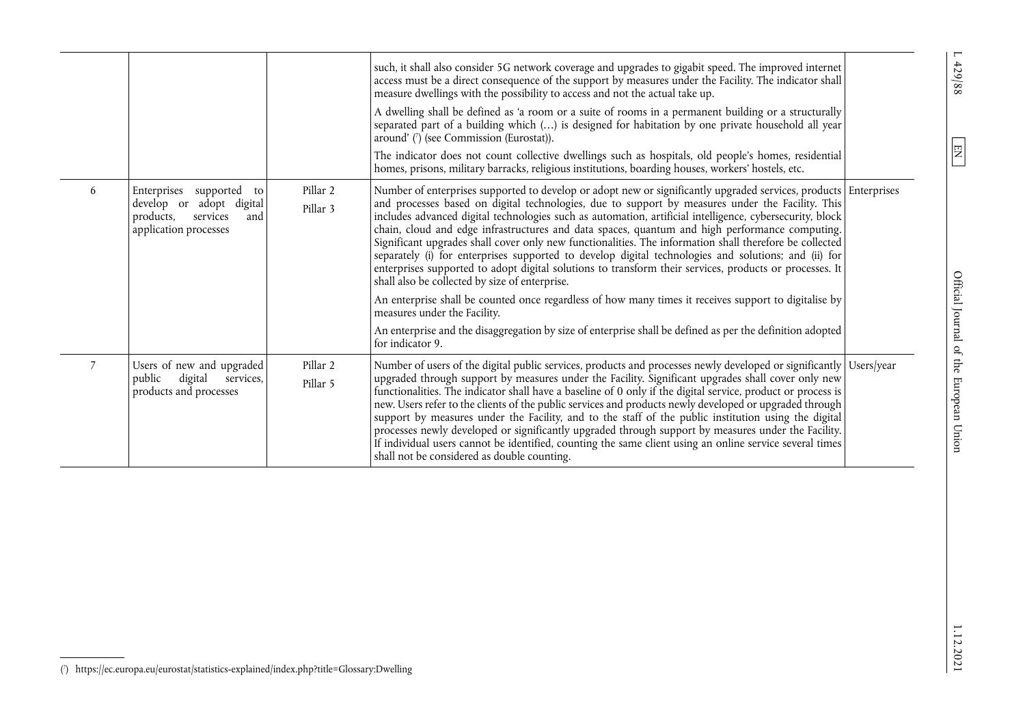|   |                                                                                                                     |                      | such, it shall also consider 5G network coverage and upgrades to gigabit speed. The improved internet<br>access must be a direct consequence of the support by measures under the Facility. The indicator shall<br>measure dwellings with the possibility to access and not the actual take up.<br>A dwelling shall be defined as 'a room or a suite of rooms in a permanent building or a structurally<br>separated part of a building which () is designed for habitation by one private household all year<br>around' $\binom{7}{7}$ (see Commission (Eurostat)).<br>The indicator does not count collective dwellings such as hospitals, old people's homes, residential<br>homes, prisons, military barracks, religious institutions, boarding houses, workers' hostels, etc.                                                                                                                                                                                                                                                                                                           |  |
|---|---------------------------------------------------------------------------------------------------------------------|----------------------|----------------------------------------------------------------------------------------------------------------------------------------------------------------------------------------------------------------------------------------------------------------------------------------------------------------------------------------------------------------------------------------------------------------------------------------------------------------------------------------------------------------------------------------------------------------------------------------------------------------------------------------------------------------------------------------------------------------------------------------------------------------------------------------------------------------------------------------------------------------------------------------------------------------------------------------------------------------------------------------------------------------------------------------------------------------------------------------------|--|
| 6 | Enterprises<br>supported<br>to<br>develop or adopt digital<br>products,<br>services<br>and<br>application processes | Pillar 2<br>Pillar 3 | Number of enterprises supported to develop or adopt new or significantly upgraded services, products Enterprises<br>and processes based on digital technologies, due to support by measures under the Facility. This<br>includes advanced digital technologies such as automation, artificial intelligence, cybersecurity, block<br>chain, cloud and edge infrastructures and data spaces, quantum and high performance computing.<br>Significant upgrades shall cover only new functionalities. The information shall therefore be collected<br>separately (i) for enterprises supported to develop digital technologies and solutions; and (ii) for<br>enterprises supported to adopt digital solutions to transform their services, products or processes. It<br>shall also be collected by size of enterprise.<br>An enterprise shall be counted once regardless of how many times it receives support to digitalise by<br>measures under the Facility.<br>An enterprise and the disaggregation by size of enterprise shall be defined as per the definition adopted<br>for indicator 9. |  |
|   | Users of new and upgraded<br>digital<br>public<br>services,<br>products and processes                               | Pillar 2<br>Pillar 5 | Number of users of the digital public services, products and processes newly developed or significantly Users/year<br>upgraded through support by measures under the Facility. Significant upgrades shall cover only new<br>functionalities. The indicator shall have a baseline of 0 only if the digital service, product or process is<br>new. Users refer to the clients of the public services and products newly developed or upgraded through<br>support by measures under the Facility, and to the staff of the public institution using the digital<br>processes newly developed or significantly upgraded through support by measures under the Facility.<br>If individual users cannot be identified, counting the same client using an online service several times<br>shall not be considered as double counting.                                                                                                                                                                                                                                                                |  |

 $L$  429/88

<span id="page-5-1"></span><span id="page-5-0"></span> $\boxed{\text{EN}}$ 

[<sup>\(7\)</sup>](#page-5-1) <https://ec.europa.eu/eurostat/statistics-explained/index.php?title=Glossary:Dwelling>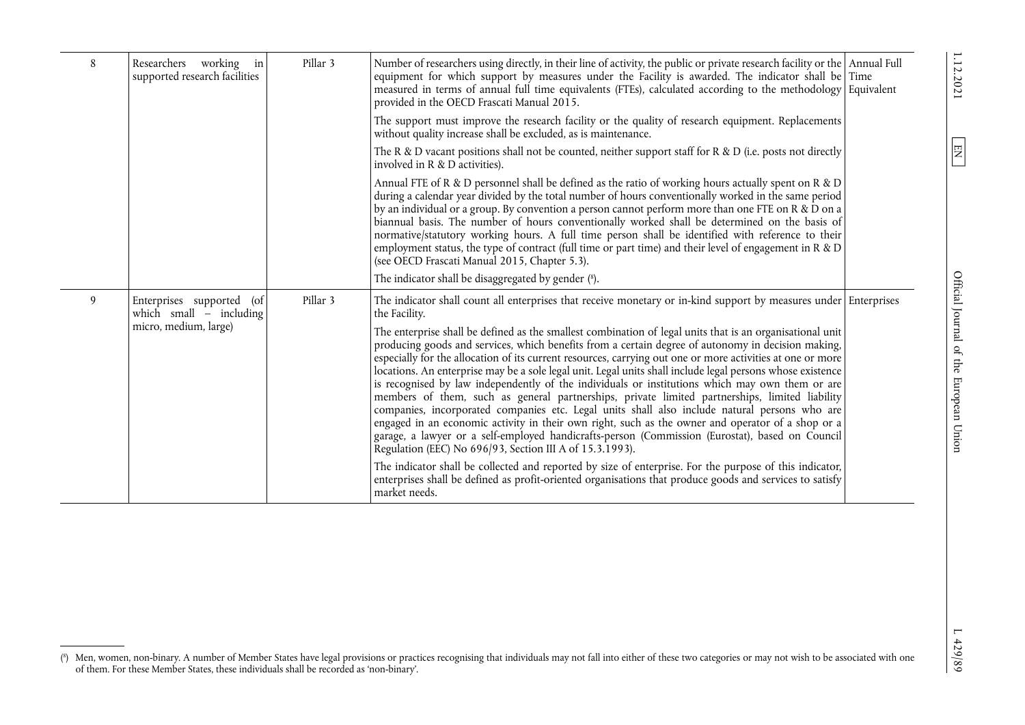| 8 | Researchers working in<br>supported research facilities                         | Pillar 3 | Number of researchers using directly, in their line of activity, the public or private research facility or the Annual Full<br>equipment for which support by measures under the Facility is awarded. The indicator shall be Time<br>measured in terms of annual full time equivalents (FTEs), calculated according to the methodology Equivalent<br>provided in the OECD Frascati Manual 2015.                                                                                                                                                                                                                                                                                                                                                                                                                                                                                                                                                                                                                       |  |
|---|---------------------------------------------------------------------------------|----------|-----------------------------------------------------------------------------------------------------------------------------------------------------------------------------------------------------------------------------------------------------------------------------------------------------------------------------------------------------------------------------------------------------------------------------------------------------------------------------------------------------------------------------------------------------------------------------------------------------------------------------------------------------------------------------------------------------------------------------------------------------------------------------------------------------------------------------------------------------------------------------------------------------------------------------------------------------------------------------------------------------------------------|--|
|   |                                                                                 |          | The support must improve the research facility or the quality of research equipment. Replacements<br>without quality increase shall be excluded, as is maintenance.                                                                                                                                                                                                                                                                                                                                                                                                                                                                                                                                                                                                                                                                                                                                                                                                                                                   |  |
|   |                                                                                 |          | The R & D vacant positions shall not be counted, neither support staff for R & D (i.e. posts not directly<br>involved in R & D activities).                                                                                                                                                                                                                                                                                                                                                                                                                                                                                                                                                                                                                                                                                                                                                                                                                                                                           |  |
|   |                                                                                 |          | Annual FTE of R & D personnel shall be defined as the ratio of working hours actually spent on R & D<br>during a calendar year divided by the total number of hours conventionally worked in the same period<br>by an individual or a group. By convention a person cannot perform more than one FTE on R & $\bar{D}$ on a<br>biannual basis. The number of hours conventionally worked shall be determined on the basis of<br>normative/statutory working hours. A full time person shall be identified with reference to their<br>employment status, the type of contract (full time or part time) and their level of engagement in R & D<br>(see OECD Frascati Manual 2015, Chapter 5.3).                                                                                                                                                                                                                                                                                                                          |  |
|   |                                                                                 |          | The indicator shall be disaggregated by gender (8).                                                                                                                                                                                                                                                                                                                                                                                                                                                                                                                                                                                                                                                                                                                                                                                                                                                                                                                                                                   |  |
| 9 | Enterprises supported (of<br>which small $-$ including<br>micro, medium, large) | Pillar 3 | The indicator shall count all enterprises that receive monetary or in-kind support by measures under Enterprises<br>the Facility.                                                                                                                                                                                                                                                                                                                                                                                                                                                                                                                                                                                                                                                                                                                                                                                                                                                                                     |  |
|   |                                                                                 |          | The enterprise shall be defined as the smallest combination of legal units that is an organisational unit<br>producing goods and services, which benefits from a certain degree of autonomy in decision making,<br>especially for the allocation of its current resources, carrying out one or more activities at one or more<br>locations. An enterprise may be a sole legal unit. Legal units shall include legal persons whose existence<br>is recognised by law independently of the individuals or institutions which may own them or are<br>members of them, such as general partnerships, private limited partnerships, limited liability<br>companies, incorporated companies etc. Legal units shall also include natural persons who are<br>engaged in an economic activity in their own right, such as the owner and operator of a shop or a<br>garage, a lawyer or a self-employed handicrafts-person (Commission (Eurostat), based on Council<br>Regulation (EEC) No 696/93, Section III A of 15.3.1993). |  |
|   |                                                                                 |          | The indicator shall be collected and reported by size of enterprise. For the purpose of this indicator,<br>enterprises shall be defined as profit-oriented organisations that produce goods and services to satisfy<br>market needs.                                                                                                                                                                                                                                                                                                                                                                                                                                                                                                                                                                                                                                                                                                                                                                                  |  |

1.12.2021

 $\boxed{EN}$ 

<span id="page-6-1"></span><span id="page-6-0"></span>Official Journal of the European Union

[<sup>\(8\)</sup>](#page-6-1) Men, women, non-binary. A number of Member States have legal provisions or practices recognising that individuals may not fall into either of these two categories or may not wish to be associated with one of them. For these Member States, these individuals shall be recorded as 'non-binary'.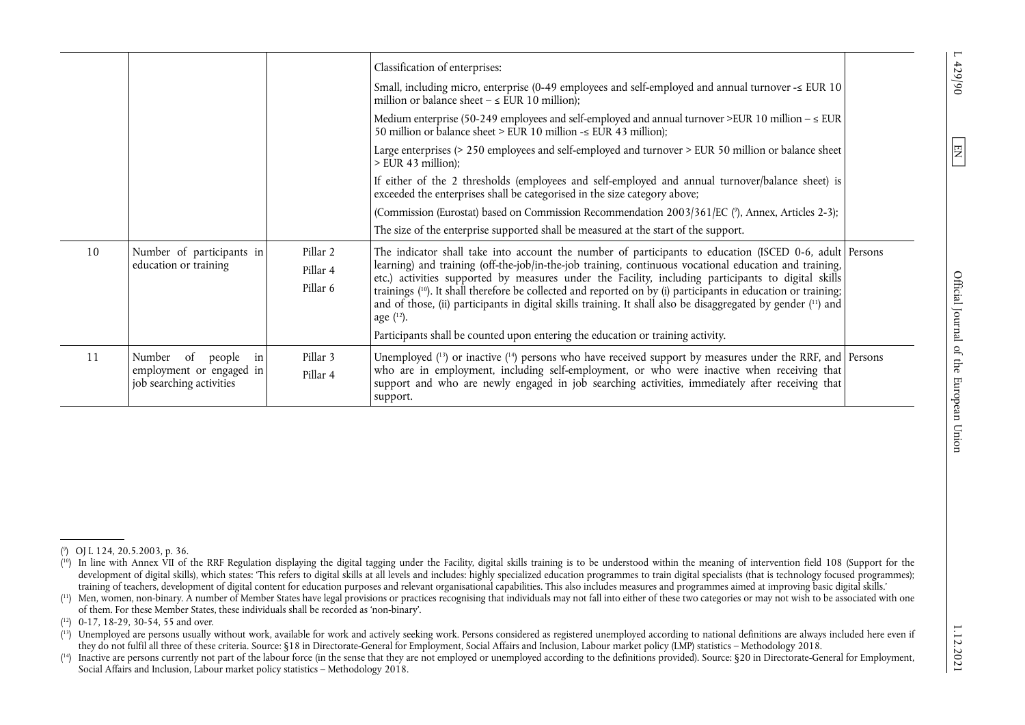|    |                                                                                   |                                  | Classification of enterprises:<br>Small, including micro, enterprise (0-49 employees and self-employed and annual turnover $\leq$ EUR 10<br>million or balance sheet $-\le$ EUR 10 million);<br>Medium enterprise (50-249 employees and self-employed and annual turnover >EUR 10 million $-\leq$ EUR<br>50 million or balance sheet > EUR 10 million - $\leq$ EUR 43 million);<br>Large enterprises (> 250 employees and self-employed and turnover > EUR 50 million or balance sheet<br>$>$ EUR 43 million);<br>If either of the 2 thresholds (employees and self-employed and annual turnover/balance sheet) is<br>exceeded the enterprises shall be categorised in the size category above;<br>(Commission (Eurostat) based on Commission Recommendation 2003/361/EC (°), Annex, Articles 2-3);<br>The size of the enterprise supported shall be measured at the start of the support. |  |
|----|-----------------------------------------------------------------------------------|----------------------------------|--------------------------------------------------------------------------------------------------------------------------------------------------------------------------------------------------------------------------------------------------------------------------------------------------------------------------------------------------------------------------------------------------------------------------------------------------------------------------------------------------------------------------------------------------------------------------------------------------------------------------------------------------------------------------------------------------------------------------------------------------------------------------------------------------------------------------------------------------------------------------------------------|--|
| 10 | Number of participants in<br>education or training                                | Pillar 2<br>Pillar 4<br>Pillar 6 | The indicator shall take into account the number of participants to education (ISCED 0-6, adult   Persons<br>learning) and training (off-the-job/in-the-job training, continuous vocational education and training,<br>etc.) activities supported by measures under the Facility, including participants to digital skills<br>trainings ( <sup>10</sup> ). It shall therefore be collected and reported on by (i) participants in education or training;<br>and of those, (ii) participants in digital skills training. It shall also be disaggregated by gender (11) and<br>age $(12)$ .<br>Participants shall be counted upon entering the education or training activity.                                                                                                                                                                                                               |  |
| 11 | Number of<br>people<br>in<br>employment or engaged in<br>job searching activities | Pillar 3<br>Pillar 4             | Unemployed $(^{13})$ or inactive $(^{14})$ persons who have received support by measures under the RRF, and Persons<br>who are in employment, including self-employment, or who were inactive when receiving that<br>support and who are newly engaged in job searching activities, immediately after receiving that<br>support.                                                                                                                                                                                                                                                                                                                                                                                                                                                                                                                                                           |  |

 $\overline{\phantom{0}}$  $-429/90$ 

<span id="page-7-10"></span><span id="page-7-9"></span><span id="page-7-8"></span><span id="page-7-7"></span><span id="page-7-6"></span><span id="page-7-5"></span><span id="page-7-4"></span><span id="page-7-3"></span><span id="page-7-2"></span><span id="page-7-1"></span><span id="page-7-0"></span> $\boxed{\Xi}$ 

[<sup>\(10\)</sup>](#page-7-7) In line with Annex VII of the RRF Regulation displaying the digital tagging under the Facility, digital skills training is to be understood within the meaning of intervention field 108 (Support for the development of digital skills), which states: 'This refers to digital skills at all levels and includes: highly specialized education programmes to train digital specialists (that is technology focused programmes); training of teachers, development of digital content for education purposes and relevant organisational capabilities. This also includes measures and programmes aimed at improving basic digital skills.'

[<sup>\(11\)</sup>](#page-7-8) Men, women, non-binary. A number of Member States have legal provisions or practices recognising that individuals may not fall into either of these two categories or may not wish to be associated with one of them. For these Member States, these individuals shall be recorded as 'non-binary'.

[<sup>\(12\)</sup>](#page-7-9) 0-17, 18-29, 30-54, 55 and over.

 $(13)$  Unemployed are persons usually without work, available for work and actively seeking work. Persons considered as registered unemployed according to national definitions are always included here even if they do not fulfil all three of these criteria. Source: §18 in Directorate-General for Employment, Social Affairs and Inclusion, Labour market policy (LMP) statistics – Methodology 2018.

[<sup>\(14\)</sup>](#page-7-10) Inactive are persons currently not part of the labour force (in the sense that they are not employed or unemployed according to the definitions provided). Source: §20 in Directorate-General for Employment, Social Affairs and Inclusion, Labour market policy statistics – Methodology 2018.